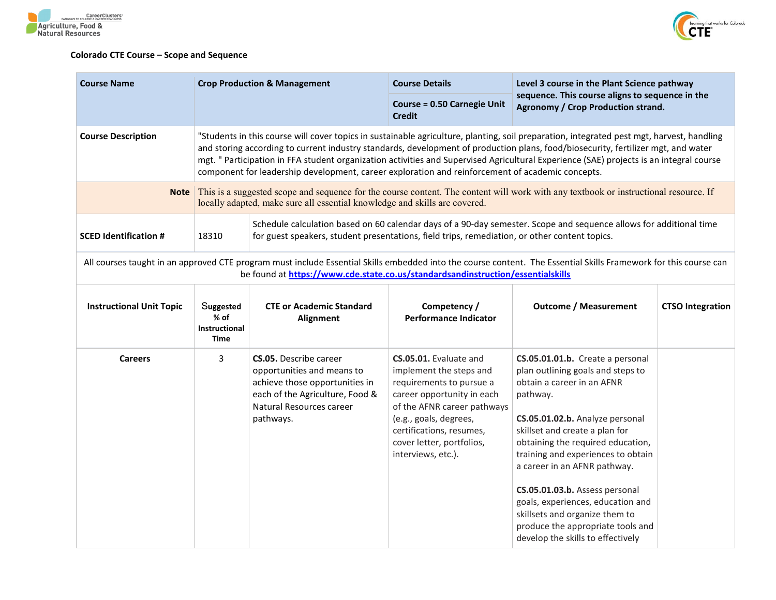



## **Colorado CTE Course – Scope and Sequence**

| <b>Course Name</b>                                                                                                                     | <b>Crop Production &amp; Management</b> |                                                                                                                                                                                                                     | <b>Course Details</b>                                                                                                                                                                                                                                                                                                                                                                                                                                                                                                         | Level 3 course in the Plant Science pathway                                                                                                                                                                                                                                                                                                                                                                                                                                        |  |
|----------------------------------------------------------------------------------------------------------------------------------------|-----------------------------------------|---------------------------------------------------------------------------------------------------------------------------------------------------------------------------------------------------------------------|-------------------------------------------------------------------------------------------------------------------------------------------------------------------------------------------------------------------------------------------------------------------------------------------------------------------------------------------------------------------------------------------------------------------------------------------------------------------------------------------------------------------------------|------------------------------------------------------------------------------------------------------------------------------------------------------------------------------------------------------------------------------------------------------------------------------------------------------------------------------------------------------------------------------------------------------------------------------------------------------------------------------------|--|
|                                                                                                                                        |                                         |                                                                                                                                                                                                                     | <b>Course = 0.50 Carnegie Unit</b><br><b>Credit</b>                                                                                                                                                                                                                                                                                                                                                                                                                                                                           | sequence. This course aligns to sequence in the<br>Agronomy / Crop Production strand.                                                                                                                                                                                                                                                                                                                                                                                              |  |
| <b>Course Description</b>                                                                                                              |                                         |                                                                                                                                                                                                                     | "Students in this course will cover topics in sustainable agriculture, planting, soil preparation, integrated pest mgt, harvest, handling<br>and storing according to current industry standards, development of production plans, food/biosecurity, fertilizer mgt, and water<br>mgt. " Participation in FFA student organization activities and Supervised Agricultural Experience (SAE) projects is an integral course<br>component for leadership development, career exploration and reinforcement of academic concepts. |                                                                                                                                                                                                                                                                                                                                                                                                                                                                                    |  |
| <b>Note</b>                                                                                                                            |                                         | locally adapted, make sure all essential knowledge and skills are covered.                                                                                                                                          |                                                                                                                                                                                                                                                                                                                                                                                                                                                                                                                               | This is a suggested scope and sequence for the course content. The content will work with any textbook or instructional resource. If                                                                                                                                                                                                                                                                                                                                               |  |
| <b>SCED Identification #</b>                                                                                                           | 18310                                   | Schedule calculation based on 60 calendar days of a 90-day semester. Scope and sequence allows for additional time<br>for guest speakers, student presentations, field trips, remediation, or other content topics. |                                                                                                                                                                                                                                                                                                                                                                                                                                                                                                                               |                                                                                                                                                                                                                                                                                                                                                                                                                                                                                    |  |
|                                                                                                                                        |                                         | be found at https://www.cde.state.co.us/standardsandinstruction/essentialskills                                                                                                                                     |                                                                                                                                                                                                                                                                                                                                                                                                                                                                                                                               | All courses taught in an approved CTE program must include Essential Skills embedded into the course content. The Essential Skills Framework for this course can                                                                                                                                                                                                                                                                                                                   |  |
| Suggested<br><b>Instructional Unit Topic</b><br><b>CTE or Academic Standard</b><br>$%$ of<br>Alignment<br><b>Instructional</b><br>Time |                                         | Competency /<br><b>Performance Indicator</b>                                                                                                                                                                        | <b>Outcome / Measurement</b>                                                                                                                                                                                                                                                                                                                                                                                                                                                                                                  | <b>CTSO Integration</b>                                                                                                                                                                                                                                                                                                                                                                                                                                                            |  |
| <b>Careers</b>                                                                                                                         | 3                                       | <b>CS.05.</b> Describe career<br>opportunities and means to<br>achieve those opportunities in<br>each of the Agriculture, Food &<br>Natural Resources career<br>pathways.                                           | CS.05.01. Evaluate and<br>implement the steps and<br>requirements to pursue a<br>career opportunity in each<br>of the AFNR career pathways<br>(e.g., goals, degrees,<br>certifications, resumes,<br>cover letter, portfolios,<br>interviews, etc.).                                                                                                                                                                                                                                                                           | CS.05.01.01.b. Create a personal<br>plan outlining goals and steps to<br>obtain a career in an AFNR<br>pathway.<br>CS.05.01.02.b. Analyze personal<br>skillset and create a plan for<br>obtaining the required education,<br>training and experiences to obtain<br>a career in an AFNR pathway.<br>CS.05.01.03.b. Assess personal<br>goals, experiences, education and<br>skillsets and organize them to<br>produce the appropriate tools and<br>develop the skills to effectively |  |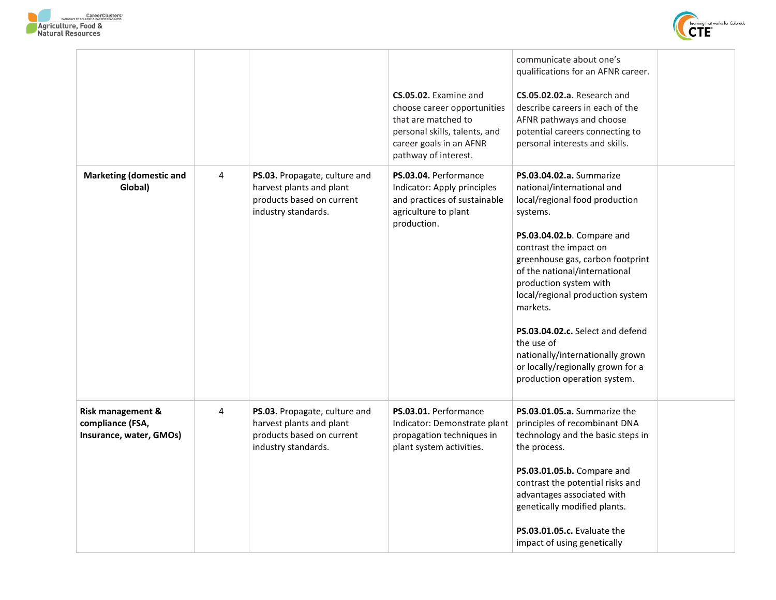



|                                                                  |   |                                                                                                               | CS.05.02. Examine and<br>choose career opportunities<br>that are matched to<br>personal skills, talents, and<br>career goals in an AFNR             | communicate about one's<br>qualifications for an AFNR career.<br>CS.05.02.02.a. Research and<br>describe careers in each of the<br>AFNR pathways and choose<br>potential careers connecting to<br>personal interests and skills.                                                                                                                                                                                                                                       |  |
|------------------------------------------------------------------|---|---------------------------------------------------------------------------------------------------------------|-----------------------------------------------------------------------------------------------------------------------------------------------------|------------------------------------------------------------------------------------------------------------------------------------------------------------------------------------------------------------------------------------------------------------------------------------------------------------------------------------------------------------------------------------------------------------------------------------------------------------------------|--|
| <b>Marketing (domestic and</b><br>Global)                        | 4 | PS.03. Propagate, culture and<br>harvest plants and plant<br>products based on current<br>industry standards. | pathway of interest.<br>PS.03.04. Performance<br>Indicator: Apply principles<br>and practices of sustainable<br>agriculture to plant<br>production. | PS.03.04.02.a. Summarize<br>national/international and<br>local/regional food production<br>systems.<br>PS.03.04.02.b. Compare and<br>contrast the impact on<br>greenhouse gas, carbon footprint<br>of the national/international<br>production system with<br>local/regional production system<br>markets.<br>PS.03.04.02.c. Select and defend<br>the use of<br>nationally/internationally grown<br>or locally/regionally grown for a<br>production operation system. |  |
| Risk management &<br>compliance (FSA,<br>Insurance, water, GMOs) | 4 | PS.03. Propagate, culture and<br>harvest plants and plant<br>products based on current<br>industry standards. | PS.03.01. Performance<br>Indicator: Demonstrate plant<br>propagation techniques in<br>plant system activities.                                      | PS.03.01.05.a. Summarize the<br>principles of recombinant DNA<br>technology and the basic steps in<br>the process.<br>PS.03.01.05.b. Compare and<br>contrast the potential risks and<br>advantages associated with<br>genetically modified plants.<br>PS.03.01.05.c. Evaluate the<br>impact of using genetically                                                                                                                                                       |  |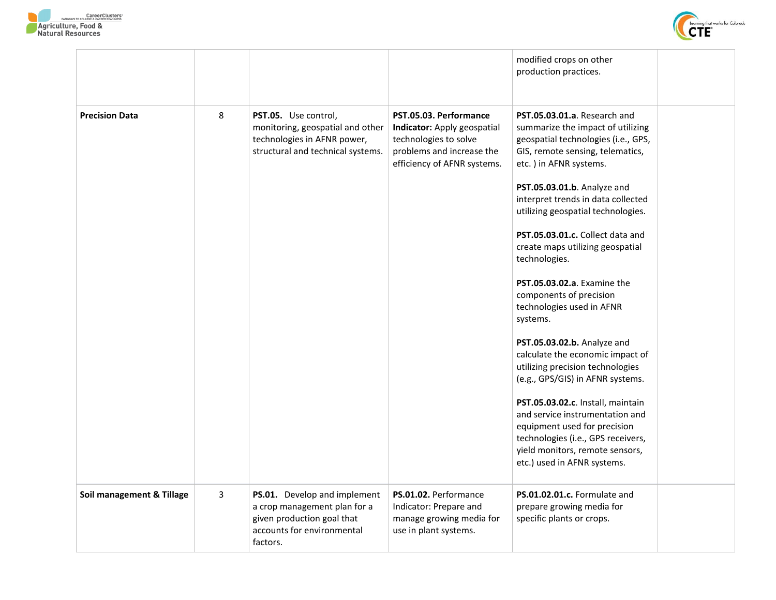



|                           |   |                                                                                                                                      |                                                                                                                                            | modified crops on other<br>production practices.                                                                                                                                                                                                                                                                                                                                                                                                                                                                                                                                                                                                                                                                                                                                                                                                |  |
|---------------------------|---|--------------------------------------------------------------------------------------------------------------------------------------|--------------------------------------------------------------------------------------------------------------------------------------------|-------------------------------------------------------------------------------------------------------------------------------------------------------------------------------------------------------------------------------------------------------------------------------------------------------------------------------------------------------------------------------------------------------------------------------------------------------------------------------------------------------------------------------------------------------------------------------------------------------------------------------------------------------------------------------------------------------------------------------------------------------------------------------------------------------------------------------------------------|--|
| <b>Precision Data</b>     | 8 | PST.05. Use control,<br>monitoring, geospatial and other<br>technologies in AFNR power,<br>structural and technical systems.         | PST.05.03. Performance<br>Indicator: Apply geospatial<br>technologies to solve<br>problems and increase the<br>efficiency of AFNR systems. | PST.05.03.01.a. Research and<br>summarize the impact of utilizing<br>geospatial technologies (i.e., GPS,<br>GIS, remote sensing, telematics,<br>etc.) in AFNR systems.<br>PST.05.03.01.b. Analyze and<br>interpret trends in data collected<br>utilizing geospatial technologies.<br>PST.05.03.01.c. Collect data and<br>create maps utilizing geospatial<br>technologies.<br><b>PST.05.03.02.a.</b> Examine the<br>components of precision<br>technologies used in AFNR<br>systems.<br>PST.05.03.02.b. Analyze and<br>calculate the economic impact of<br>utilizing precision technologies<br>(e.g., GPS/GIS) in AFNR systems.<br>PST.05.03.02.c. Install, maintain<br>and service instrumentation and<br>equipment used for precision<br>technologies (i.e., GPS receivers,<br>yield monitors, remote sensors,<br>etc.) used in AFNR systems. |  |
| Soil management & Tillage | 3 | PS.01. Develop and implement<br>a crop management plan for a<br>given production goal that<br>accounts for environmental<br>factors. | PS.01.02. Performance<br>Indicator: Prepare and<br>manage growing media for<br>use in plant systems.                                       | PS.01.02.01.c. Formulate and<br>prepare growing media for<br>specific plants or crops.                                                                                                                                                                                                                                                                                                                                                                                                                                                                                                                                                                                                                                                                                                                                                          |  |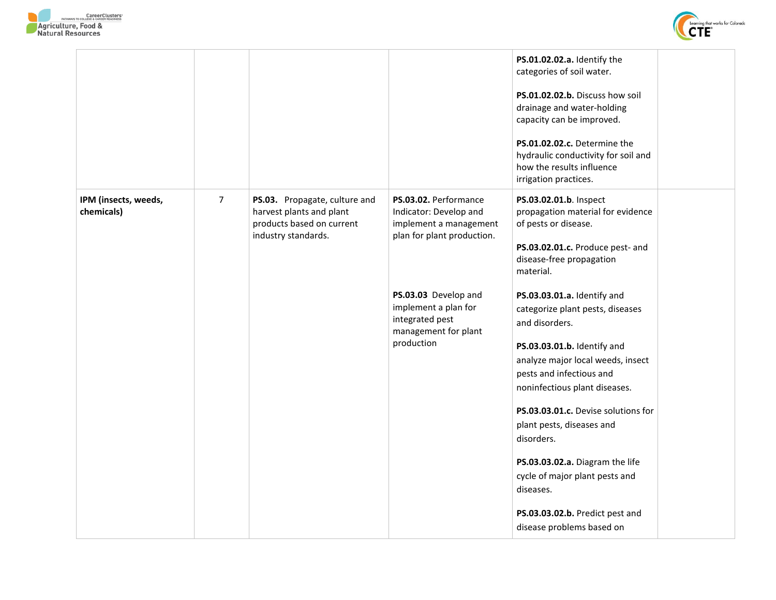



|                                    |                |                                                                                                               |                                                                                                         | PS.01.02.02.a. Identify the<br>categories of soil water.<br>PS.01.02.02.b. Discuss how soil<br>drainage and water-holding<br>capacity can be improved.                                                                                                                                                                                                                                                                                                 |
|------------------------------------|----------------|---------------------------------------------------------------------------------------------------------------|---------------------------------------------------------------------------------------------------------|--------------------------------------------------------------------------------------------------------------------------------------------------------------------------------------------------------------------------------------------------------------------------------------------------------------------------------------------------------------------------------------------------------------------------------------------------------|
|                                    |                |                                                                                                               |                                                                                                         | PS.01.02.02.c. Determine the<br>hydraulic conductivity for soil and<br>how the results influence<br>irrigation practices.                                                                                                                                                                                                                                                                                                                              |
| IPM (insects, weeds,<br>chemicals) | $\overline{7}$ | PS.03. Propagate, culture and<br>harvest plants and plant<br>products based on current<br>industry standards. | PS.03.02. Performance<br>Indicator: Develop and<br>implement a management<br>plan for plant production. | PS.03.02.01.b. Inspect<br>propagation material for evidence<br>of pests or disease.<br>PS.03.02.01.c. Produce pest- and<br>disease-free propagation<br>material.                                                                                                                                                                                                                                                                                       |
|                                    |                |                                                                                                               | PS.03.03 Develop and<br>implement a plan for<br>integrated pest<br>management for plant<br>production   | PS.03.03.01.a. Identify and<br>categorize plant pests, diseases<br>and disorders.<br>PS.03.03.01.b. Identify and<br>analyze major local weeds, insect<br>pests and infectious and<br>noninfectious plant diseases.<br>PS.03.03.01.c. Devise solutions for<br>plant pests, diseases and<br>disorders.<br>PS.03.03.02.a. Diagram the life<br>cycle of major plant pests and<br>diseases.<br>PS.03.03.02.b. Predict pest and<br>disease problems based on |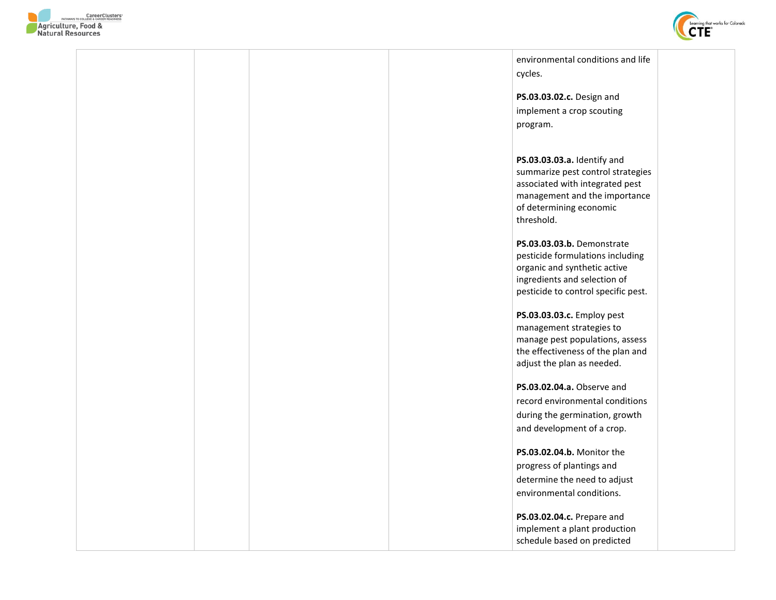



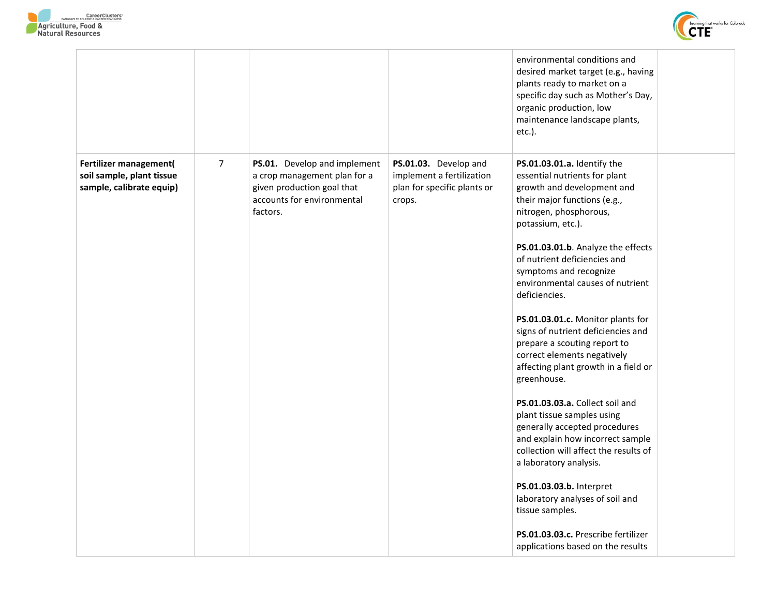



|                                                                                 |                |                                                                                                                                      |                                                                                             | environmental conditions and<br>desired market target (e.g., having<br>plants ready to market on a<br>specific day such as Mother's Day,<br>organic production, low<br>maintenance landscape plants,<br>etc.).                                                                                                                                                                                                                                                                                                                                                                                                                                                                                                                                                                                                                                                                                         |  |
|---------------------------------------------------------------------------------|----------------|--------------------------------------------------------------------------------------------------------------------------------------|---------------------------------------------------------------------------------------------|--------------------------------------------------------------------------------------------------------------------------------------------------------------------------------------------------------------------------------------------------------------------------------------------------------------------------------------------------------------------------------------------------------------------------------------------------------------------------------------------------------------------------------------------------------------------------------------------------------------------------------------------------------------------------------------------------------------------------------------------------------------------------------------------------------------------------------------------------------------------------------------------------------|--|
| Fertilizer management(<br>soil sample, plant tissue<br>sample, calibrate equip) | $\overline{7}$ | PS.01. Develop and implement<br>a crop management plan for a<br>given production goal that<br>accounts for environmental<br>factors. | PS.01.03. Develop and<br>implement a fertilization<br>plan for specific plants or<br>crops. | PS.01.03.01.a. Identify the<br>essential nutrients for plant<br>growth and development and<br>their major functions (e.g.,<br>nitrogen, phosphorous,<br>potassium, etc.).<br>PS.01.03.01.b. Analyze the effects<br>of nutrient deficiencies and<br>symptoms and recognize<br>environmental causes of nutrient<br>deficiencies.<br>PS.01.03.01.c. Monitor plants for<br>signs of nutrient deficiencies and<br>prepare a scouting report to<br>correct elements negatively<br>affecting plant growth in a field or<br>greenhouse.<br>PS.01.03.03.a. Collect soil and<br>plant tissue samples using<br>generally accepted procedures<br>and explain how incorrect sample<br>collection will affect the results of<br>a laboratory analysis.<br>PS.01.03.03.b. Interpret<br>laboratory analyses of soil and<br>tissue samples.<br>PS.01.03.03.c. Prescribe fertilizer<br>applications based on the results |  |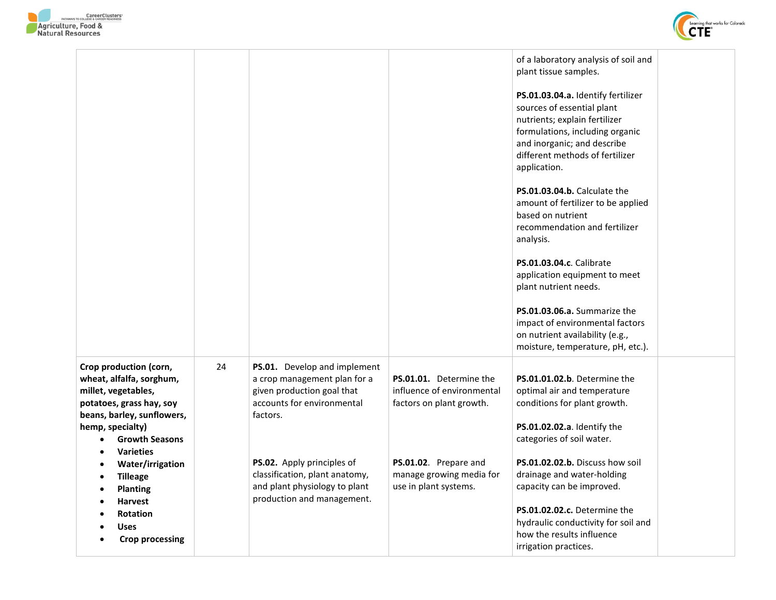



|                                                                                                                                                                                                                                                                                                                                                                                                                                         |    |                                                                                                                                                                                                                                                                     |                                                                                                                                                                 | of a laboratory analysis of soil and<br>plant tissue samples.<br>PS.01.03.04.a. Identify fertilizer<br>sources of essential plant<br>nutrients; explain fertilizer<br>formulations, including organic<br>and inorganic; and describe<br>different methods of fertilizer<br>application.<br>PS.01.03.04.b. Calculate the<br>amount of fertilizer to be applied<br>based on nutrient<br>recommendation and fertilizer<br>analysis.<br>PS.01.03.04.c. Calibrate<br>application equipment to meet<br>plant nutrient needs.<br>PS.01.03.06.a. Summarize the<br>impact of environmental factors<br>on nutrient availability (e.g.,<br>moisture, temperature, pH, etc.). |
|-----------------------------------------------------------------------------------------------------------------------------------------------------------------------------------------------------------------------------------------------------------------------------------------------------------------------------------------------------------------------------------------------------------------------------------------|----|---------------------------------------------------------------------------------------------------------------------------------------------------------------------------------------------------------------------------------------------------------------------|-----------------------------------------------------------------------------------------------------------------------------------------------------------------|-------------------------------------------------------------------------------------------------------------------------------------------------------------------------------------------------------------------------------------------------------------------------------------------------------------------------------------------------------------------------------------------------------------------------------------------------------------------------------------------------------------------------------------------------------------------------------------------------------------------------------------------------------------------|
| Crop production (corn,<br>wheat, alfalfa, sorghum,<br>millet, vegetables,<br>potatoes, grass hay, soy<br>beans, barley, sunflowers,<br>hemp, specialty)<br><b>Growth Seasons</b><br>$\bullet$<br><b>Varieties</b><br>$\bullet$<br>Water/irrigation<br>$\bullet$<br><b>Tilleage</b><br>$\bullet$<br><b>Planting</b><br>$\bullet$<br><b>Harvest</b><br>$\bullet$<br><b>Rotation</b><br><b>Uses</b><br><b>Crop processing</b><br>$\bullet$ | 24 | PS.01. Develop and implement<br>a crop management plan for a<br>given production goal that<br>accounts for environmental<br>factors.<br>PS.02. Apply principles of<br>classification, plant anatomy,<br>and plant physiology to plant<br>production and management. | PS.01.01. Determine the<br>influence of environmental<br>factors on plant growth.<br>PS.01.02. Prepare and<br>manage growing media for<br>use in plant systems. | PS.01.01.02.b. Determine the<br>optimal air and temperature<br>conditions for plant growth.<br>PS.01.02.02.a. Identify the<br>categories of soil water.<br>PS.01.02.02.b. Discuss how soil<br>drainage and water-holding<br>capacity can be improved.<br>PS.01.02.02.c. Determine the<br>hydraulic conductivity for soil and<br>how the results influence<br>irrigation practices.                                                                                                                                                                                                                                                                                |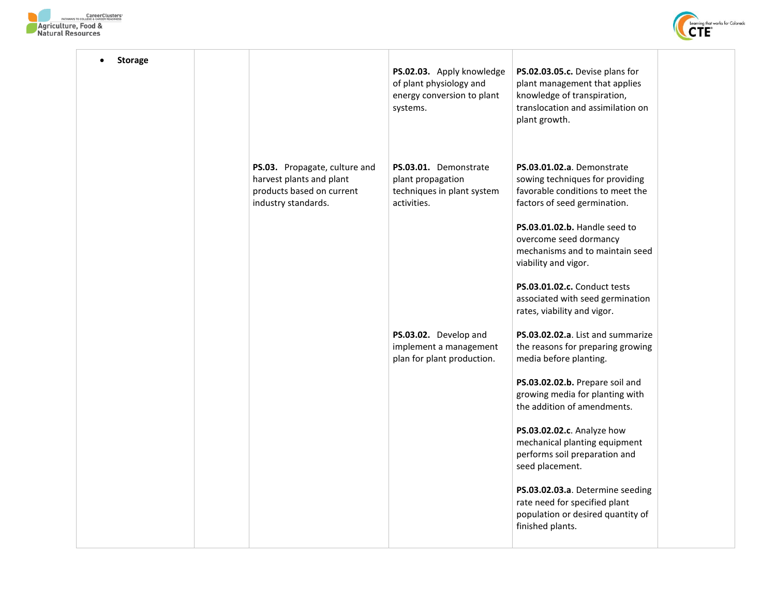



| <b>Storage</b> |                                                                                                               | PS.02.03. Apply knowledge<br>of plant physiology and<br>energy conversion to plant<br>systems. | PS.02.03.05.c. Devise plans for<br>plant management that applies<br>knowledge of transpiration,<br>translocation and assimilation on<br>plant growth. |
|----------------|---------------------------------------------------------------------------------------------------------------|------------------------------------------------------------------------------------------------|-------------------------------------------------------------------------------------------------------------------------------------------------------|
|                | PS.03. Propagate, culture and<br>harvest plants and plant<br>products based on current<br>industry standards. | PS.03.01. Demonstrate<br>plant propagation<br>techniques in plant system<br>activities.        | PS.03.01.02.a. Demonstrate<br>sowing techniques for providing<br>favorable conditions to meet the<br>factors of seed germination.                     |
|                |                                                                                                               |                                                                                                | PS.03.01.02.b. Handle seed to<br>overcome seed dormancy<br>mechanisms and to maintain seed<br>viability and vigor.                                    |
|                |                                                                                                               |                                                                                                | PS.03.01.02.c. Conduct tests<br>associated with seed germination<br>rates, viability and vigor.                                                       |
|                |                                                                                                               | PS.03.02. Develop and<br>implement a management<br>plan for plant production.                  | PS.03.02.02.a. List and summarize<br>the reasons for preparing growing<br>media before planting.                                                      |
|                |                                                                                                               |                                                                                                | PS.03.02.02.b. Prepare soil and<br>growing media for planting with<br>the addition of amendments.                                                     |
|                |                                                                                                               |                                                                                                | PS.03.02.02.c. Analyze how<br>mechanical planting equipment<br>performs soil preparation and<br>seed placement.                                       |
|                |                                                                                                               |                                                                                                | PS.03.02.03.a. Determine seeding<br>rate need for specified plant<br>population or desired quantity of<br>finished plants.                            |
|                |                                                                                                               |                                                                                                |                                                                                                                                                       |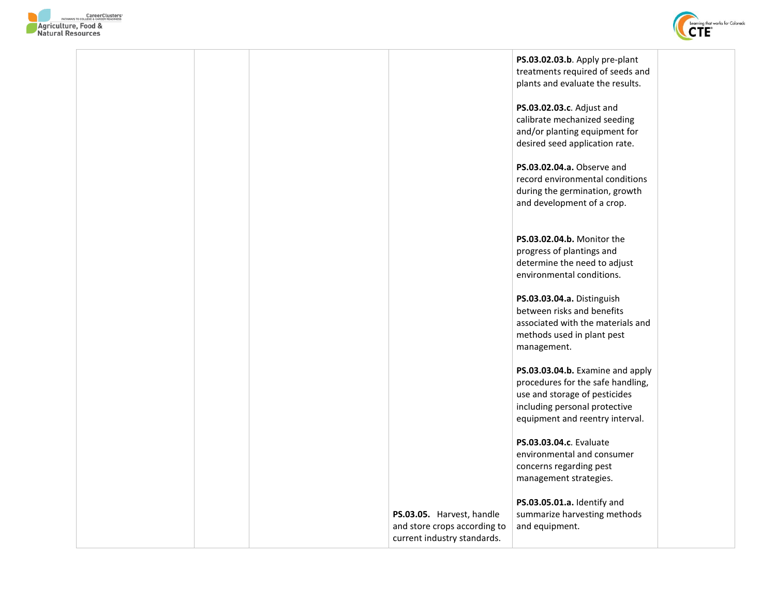



|  |                                                                                          | PS.03.02.03.b. Apply pre-plant<br>treatments required of seeds and<br>plants and evaluate the results.                                                                     |  |
|--|------------------------------------------------------------------------------------------|----------------------------------------------------------------------------------------------------------------------------------------------------------------------------|--|
|  |                                                                                          | PS.03.02.03.c. Adjust and<br>calibrate mechanized seeding<br>and/or planting equipment for<br>desired seed application rate.                                               |  |
|  |                                                                                          | PS.03.02.04.a. Observe and<br>record environmental conditions<br>during the germination, growth<br>and development of a crop.                                              |  |
|  |                                                                                          | PS.03.02.04.b. Monitor the<br>progress of plantings and<br>determine the need to adjust<br>environmental conditions.                                                       |  |
|  |                                                                                          | PS.03.03.04.a. Distinguish<br>between risks and benefits<br>associated with the materials and<br>methods used in plant pest<br>management.                                 |  |
|  |                                                                                          | PS.03.03.04.b. Examine and apply<br>procedures for the safe handling,<br>use and storage of pesticides<br>including personal protective<br>equipment and reentry interval. |  |
|  |                                                                                          | PS.03.03.04.c. Evaluate<br>environmental and consumer<br>concerns regarding pest<br>management strategies.                                                                 |  |
|  | PS.03.05. Harvest, handle<br>and store crops according to<br>current industry standards. | PS.03.05.01.a. Identify and<br>summarize harvesting methods<br>and equipment.                                                                                              |  |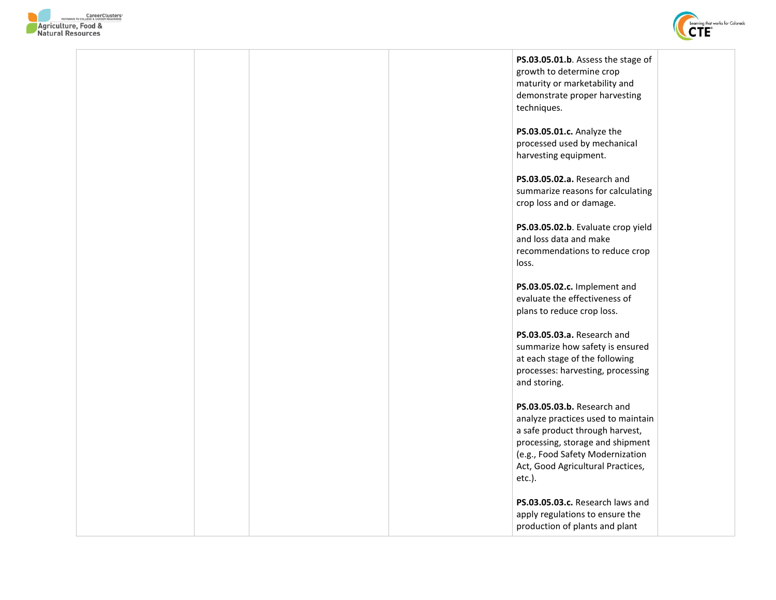



|  |  | PS.03.05.01.b. Assess the stage of<br>growth to determine crop<br>maturity or marketability and<br>demonstrate proper harvesting<br>techniques.                                                                             |  |
|--|--|-----------------------------------------------------------------------------------------------------------------------------------------------------------------------------------------------------------------------------|--|
|  |  | PS.03.05.01.c. Analyze the<br>processed used by mechanical<br>harvesting equipment.                                                                                                                                         |  |
|  |  | PS.03.05.02.a. Research and<br>summarize reasons for calculating<br>crop loss and or damage.                                                                                                                                |  |
|  |  | PS.03.05.02.b. Evaluate crop yield<br>and loss data and make<br>recommendations to reduce crop<br>loss.                                                                                                                     |  |
|  |  | PS.03.05.02.c. Implement and<br>evaluate the effectiveness of<br>plans to reduce crop loss.                                                                                                                                 |  |
|  |  | PS.03.05.03.a. Research and<br>summarize how safety is ensured<br>at each stage of the following<br>processes: harvesting, processing<br>and storing.                                                                       |  |
|  |  | PS.03.05.03.b. Research and<br>analyze practices used to maintain<br>a safe product through harvest,<br>processing, storage and shipment<br>(e.g., Food Safety Modernization<br>Act, Good Agricultural Practices,<br>etc.). |  |
|  |  | PS.03.05.03.c. Research laws and<br>apply regulations to ensure the<br>production of plants and plant                                                                                                                       |  |